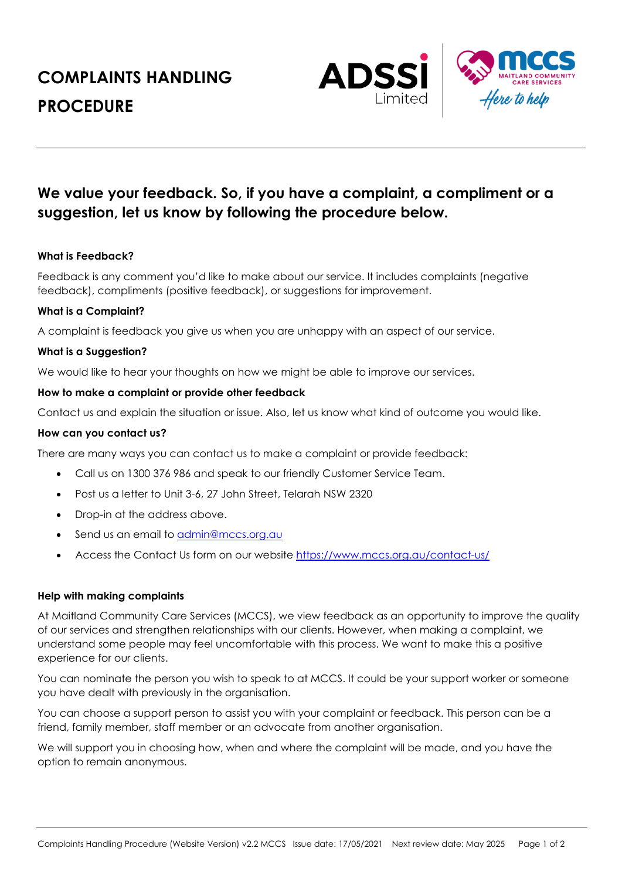# **COMPLAINTS HANDLING PROCEDURE**



# **We value your feedback. So, if you have a complaint, a compliment or a suggestion, let us know by following the procedure below.**

# **What is Feedback?**

Feedback is any comment you'd like to make about our service. It includes complaints (negative feedback), compliments (positive feedback), or suggestions for improvement.

# **What is a Complaint?**

A complaint is feedback you give us when you are unhappy with an aspect of our service.

# **What is a Suggestion?**

We would like to hear your thoughts on how we might be able to improve our services.

# **How to make a complaint or provide other feedback**

Contact us and explain the situation or issue. Also, let us know what kind of outcome you would like.

# **How can you contact us?**

There are many ways you can contact us to make a complaint or provide feedback:

- Call us on 1300 376 986 and speak to our friendly Customer Service Team.
- Post us a letter to Unit 3-6, 27 John Street, Telarah NSW 2320
- Drop-in at the address above.
- Send us an email to admin@mccs.org.au
- Access the Contact Us form on our website https://www.mccs.org.au/contact-us/

# **Help with making complaints**

At Maitland Community Care Services (MCCS), we view feedback as an opportunity to improve the quality of our services and strengthen relationships with our clients. However, when making a complaint, we understand some people may feel uncomfortable with this process. We want to make this a positive experience for our clients.

You can nominate the person you wish to speak to at MCCS. It could be your support worker or someone you have dealt with previously in the organisation.

You can choose a support person to assist you with your complaint or feedback. This person can be a friend, family member, staff member or an advocate from another organisation.

We will support you in choosing how, when and where the complaint will be made, and you have the option to remain anonymous.